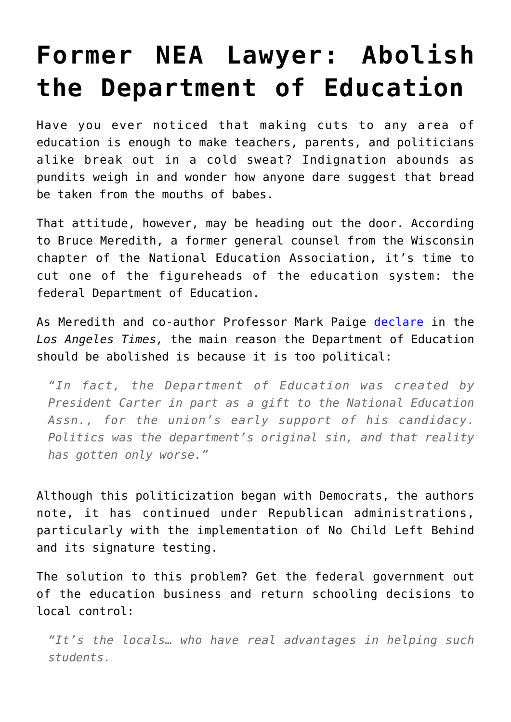## **[Former NEA Lawyer: Abolish](https://intellectualtakeout.org/2017/01/former-nea-lawyer-abolish-the-department-of-education/) [the Department of Education](https://intellectualtakeout.org/2017/01/former-nea-lawyer-abolish-the-department-of-education/)**

Have you ever noticed that making cuts to any area of education is enough to make teachers, parents, and politicians alike break out in a cold sweat? Indignation abounds as pundits weigh in and wonder how anyone dare suggest that bread be taken from the mouths of babes.

That attitude, however, may be heading out the door. According to Bruce Meredith, a former general counsel from the Wisconsin chapter of the National Education Association, it's time to cut one of the figureheads of the education system: the federal Department of Education.

As Meredith and co-author Professor Mark Paige [declare](http://www.latimes.com/opinion/op-ed/la-oe-meredith-paige-abolish-education-department-20170106-story.html) in the *Los Angeles Times,* the main reason the Department of Education should be abolished is because it is too political:

*"In fact, the Department of Education was created by President Carter in part as a gift to the National Education Assn., for the union's early support of his candidacy. Politics was the department's original sin, and that reality has gotten only worse."*

Although this politicization began with Democrats, the authors note, it has continued under Republican administrations, particularly with the implementation of No Child Left Behind and its signature testing.

The solution to this problem? Get the federal government out of the education business and return schooling decisions to local control:

*"It's the locals… who have real advantages in helping such students.*